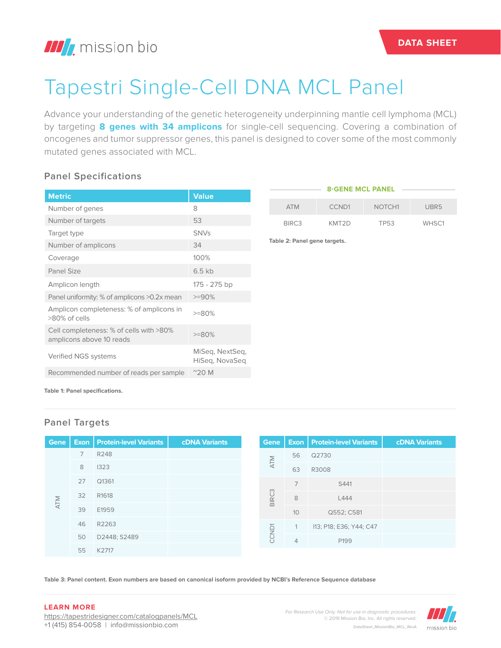# Tapestri Single-Cell DNA MCL Panel

Advance your understanding of the genetic heterogeneity underpinning mantle cell lymphoma (MCL) by targeting **8 genes with 34 amplicons** for single-cell sequencing. Covering a combination of oncogenes and tumor suppressor genes, this panel is designed to cover some of the most commonly mutated genes associated with MCL.

### **Panel Specifications**

| <b>Metric</b>                                                       | <b>Value</b>                      |
|---------------------------------------------------------------------|-----------------------------------|
| Number of genes                                                     | 8                                 |
| Number of targets                                                   | 53                                |
| Target type                                                         | <b>SNVs</b>                       |
| Number of amplicons                                                 | 34                                |
| Coverage                                                            | 100%                              |
| Panel Size                                                          | $6.5$ kb                          |
| Amplicon length                                                     | 175 - 275 bp                      |
| Panel uniformity: % of amplicons >0.2x mean                         | $>=90%$                           |
| Amplicon completeness: % of amplicons in<br>>80% of cells           | $>=80%$                           |
| Cell completeness: % of cells with >80%<br>amplicons above 10 reads | $>=80%$                           |
| Verified NGS systems                                                | MiSeg, NextSeg,<br>HiSeg, NovaSeg |
| Recommended number of reads per sample                              | $^{\prime\prime}$ 20 M            |

#### **8-GENE MCL PANEL**

| <b>ATM</b>        | CCND <sub>1</sub> | NOTCH <sub>1</sub> | UBR <sub>5</sub> |
|-------------------|-------------------|--------------------|------------------|
| BIRC <sub>3</sub> | KMT2D             | <b>TP53</b>        | WHSC1            |

**Table 2: Panel gene targets.**

**Table 1: Panel specifications.**

## **Panel Targets**

| <b>Gene</b> |    | <b>Exon   Protein-level Variants</b> | <b>cDNA Variants</b> |  | Gene              |                | <b>Exon   Protein-level Variants</b> | <b>cDNA Variants</b> |
|-------------|----|--------------------------------------|----------------------|--|-------------------|----------------|--------------------------------------|----------------------|
| <b>ATM</b>  | 7  | R248                                 |                      |  |                   | 56             | Q2730                                |                      |
|             | 8  | 1323                                 |                      |  | <b>ATM</b>        | 63             | R3008                                |                      |
|             | 27 | Q1361                                |                      |  |                   |                | S441                                 |                      |
|             | 32 | R <sub>1618</sub>                    |                      |  | BIRC <sub>3</sub> | 8              | L444                                 |                      |
|             | 39 | E1959                                |                      |  |                   | 10             | Q552; C581                           |                      |
|             | 46 | R2263                                |                      |  |                   | $\mathbf{1}$   | I13; P18; E36; Y44; C47              |                      |
|             | 50 | D2448; S2489                         |                      |  | CCND <sub>1</sub> | $\overline{4}$ | P199                                 |                      |
|             | 55 | K2717                                |                      |  |                   |                |                                      |                      |

**Table 3: Panel content. Exon numbers are based on canonical isoform provided by NCBI's Reference Sequence database**

#### **LEARN MORE**

https://tapestridesigner.com/catalogpanels/MCL +1 (415) 854-0058 | info@missionbio.com

*For Research Use Only. Not for use in diagnostic procedures.* © 2019 Mission Bio, Inc. All rights reserved. DataSheet\_MissionBio\_MCL\_RevA